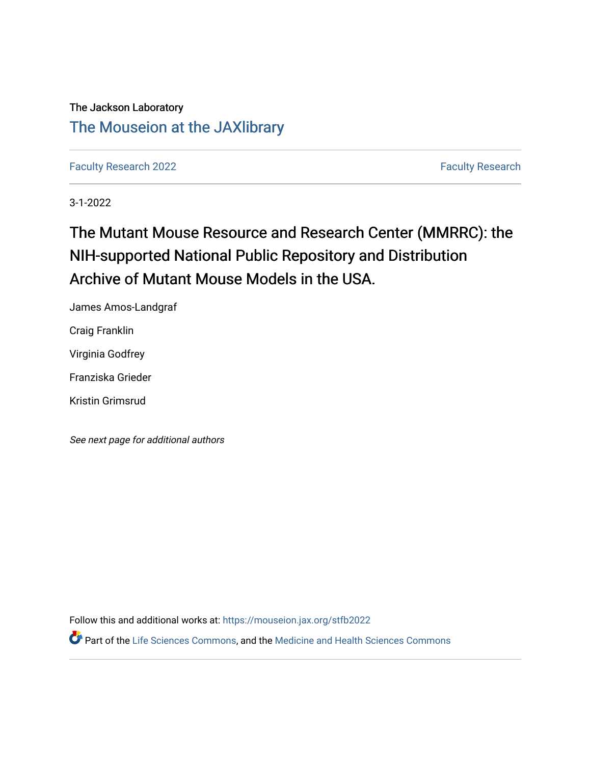The Jackson Laboratory [The Mouseion at the JAXlibrary](https://mouseion.jax.org/)

[Faculty Research 2022](https://mouseion.jax.org/stfb2022) **Faculty Research** 2022

3-1-2022

# The Mutant Mouse Resource and Research Center (MMRRC): the NIH-supported National Public Repository and Distribution Archive of Mutant Mouse Models in the USA.

James Amos-Landgraf

Craig Franklin

Virginia Godfrey

Franziska Grieder

Kristin Grimsrud

See next page for additional authors

Follow this and additional works at: [https://mouseion.jax.org/stfb2022](https://mouseion.jax.org/stfb2022?utm_source=mouseion.jax.org%2Fstfb2022%2F46&utm_medium=PDF&utm_campaign=PDFCoverPages)

Part of the [Life Sciences Commons,](http://network.bepress.com/hgg/discipline/1016?utm_source=mouseion.jax.org%2Fstfb2022%2F46&utm_medium=PDF&utm_campaign=PDFCoverPages) and the [Medicine and Health Sciences Commons](http://network.bepress.com/hgg/discipline/648?utm_source=mouseion.jax.org%2Fstfb2022%2F46&utm_medium=PDF&utm_campaign=PDFCoverPages)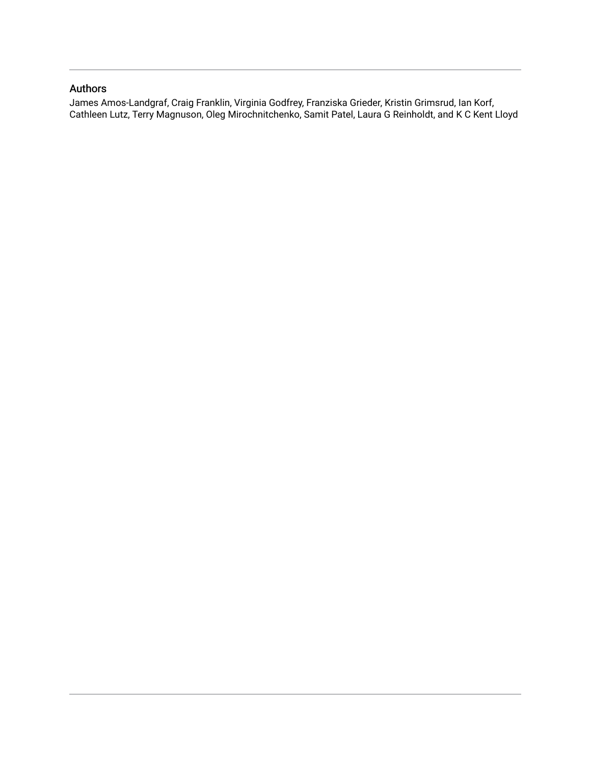# Authors

James Amos-Landgraf, Craig Franklin, Virginia Godfrey, Franziska Grieder, Kristin Grimsrud, Ian Korf, Cathleen Lutz, Terry Magnuson, Oleg Mirochnitchenko, Samit Patel, Laura G Reinholdt, and K C Kent Lloyd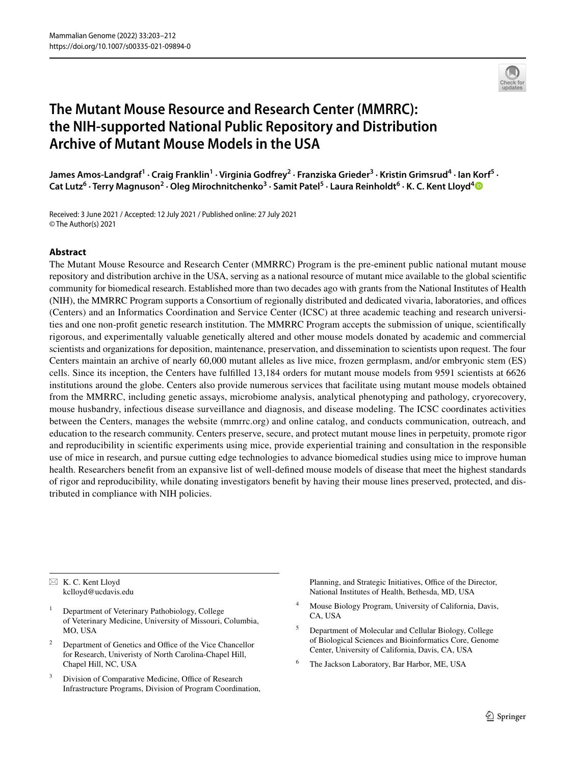

# **The Mutant Mouse Resource and Research Center (MMRRC): the NIH‑supported National Public Repository and Distribution Archive of Mutant Mouse Models in the USA**

James Amos-Landgraf<sup>1</sup> • Craig Franklin<sup>1</sup> • Virginia Godfrey<sup>2</sup> • Franziska Grieder<sup>3</sup> • Kristin Grimsrud<sup>4</sup> • Ian Korf<sup>5</sup> • **Cat Lutz6 · Terry Magnuson2 · Oleg Mirochnitchenko<sup>3</sup> · Samit Patel5 · Laura Reinholdt6 · K. C. Kent Lloyd[4](http://orcid.org/0000-0002-5318-4144)**

Received: 3 June 2021 / Accepted: 12 July 2021 / Published online: 27 July 2021 © The Author(s) 2021

#### **Abstract**

The Mutant Mouse Resource and Research Center (MMRRC) Program is the pre-eminent public national mutant mouse repository and distribution archive in the USA, serving as a national resource of mutant mice available to the global scientifc community for biomedical research. Established more than two decades ago with grants from the National Institutes of Health (NIH), the MMRRC Program supports a Consortium of regionally distributed and dedicated vivaria, laboratories, and offices (Centers) and an Informatics Coordination and Service Center (ICSC) at three academic teaching and research universities and one non-proft genetic research institution. The MMRRC Program accepts the submission of unique, scientifcally rigorous, and experimentally valuable genetically altered and other mouse models donated by academic and commercial scientists and organizations for deposition, maintenance, preservation, and dissemination to scientists upon request. The four Centers maintain an archive of nearly 60,000 mutant alleles as live mice, frozen germplasm, and/or embryonic stem (ES) cells. Since its inception, the Centers have fulflled 13,184 orders for mutant mouse models from 9591 scientists at 6626 institutions around the globe. Centers also provide numerous services that facilitate using mutant mouse models obtained from the MMRRC, including genetic assays, microbiome analysis, analytical phenotyping and pathology, cryorecovery, mouse husbandry, infectious disease surveillance and diagnosis, and disease modeling. The ICSC coordinates activities between the Centers, manages the website (mmrrc.org) and online catalog, and conducts communication, outreach, and education to the research community. Centers preserve, secure, and protect mutant mouse lines in perpetuity, promote rigor and reproducibility in scientifc experiments using mice, provide experiential training and consultation in the responsible use of mice in research, and pursue cutting edge technologies to advance biomedical studies using mice to improve human health. Researchers beneft from an expansive list of well-defned mouse models of disease that meet the highest standards of rigor and reproducibility, while donating investigators beneft by having their mouse lines preserved, protected, and distributed in compliance with NIH policies.

 $\boxtimes$  K. C. Kent Lloyd kclloyd@ucdavis.edu

- <sup>1</sup> Department of Veterinary Pathobiology, College of Veterinary Medicine, University of Missouri, Columbia, MO<sub>USA</sub>
- $2$  Department of Genetics and Office of the Vice Chancellor for Research, Univeristy of North Carolina-Chapel Hill, Chapel Hill, NC, USA
- Division of Comparative Medicine, Office of Research Infrastructure Programs, Division of Program Coordination,

Planning, and Strategic Initiatives, Office of the Director, National Institutes of Health, Bethesda, MD, USA

- <sup>4</sup> Mouse Biology Program, University of California, Davis, CA, USA
- <sup>5</sup> Department of Molecular and Cellular Biology, College of Biological Sciences and Bioinformatics Core, Genome Center, University of California, Davis, CA, USA
- <sup>6</sup> The Jackson Laboratory, Bar Harbor, ME, USA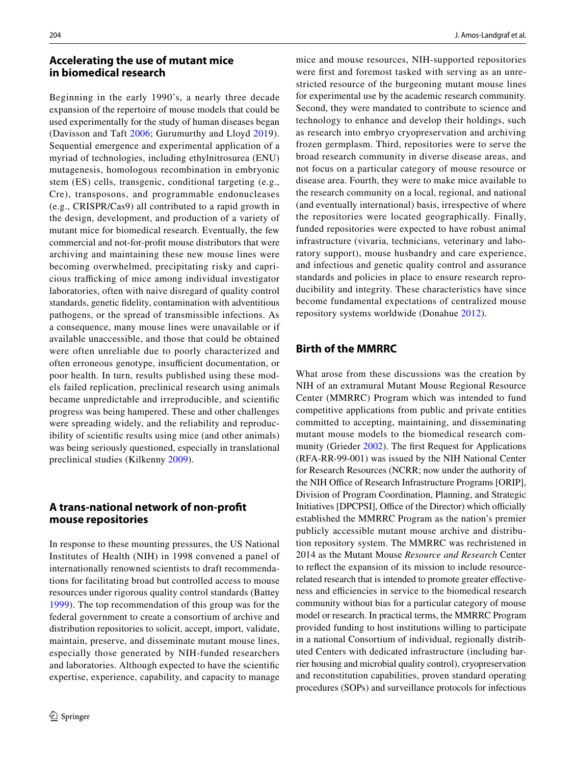#### **Accelerating the use of mutant mice in biomedical research**

Beginning in the early 1990's, a nearly three decade expansion of the repertoire of mouse models that could be used experimentally for the study of human diseases began (Davisson and Taft [2006](#page-10-0); Gurumurthy and Lloyd [2019](#page-10-1)). Sequential emergence and experimental application of a myriad of technologies, including ethylnitrosurea (ENU) mutagenesis, homologous recombination in embryonic stem (ES) cells, transgenic, conditional targeting (e.g., Cre), transposons, and programmable endonucleases (e.g., CRISPR/Cas9) all contributed to a rapid growth in the design, development, and production of a variety of mutant mice for biomedical research. Eventually, the few commercial and not-for-proft mouse distributors that were archiving and maintaining these new mouse lines were becoming overwhelmed, precipitating risky and capricious trafficking of mice among individual investigator laboratories, often with naive disregard of quality control standards, genetic fdelity, contamination with adventitious pathogens, or the spread of transmissible infections. As a consequence, many mouse lines were unavailable or if available unaccessible, and those that could be obtained were often unreliable due to poorly characterized and often erroneous genotype, insufficient documentation, or poor health. In turn, results published using these models failed replication, preclinical research using animals became unpredictable and irreproducible, and scientifc progress was being hampered. These and other challenges were spreading widely, and the reliability and reproducibility of scientifc results using mice (and other animals) was being seriously questioned, especially in translational preclinical studies (Kilkenny [2009\)](#page-11-0).

# **A trans‑national network of non‑proft mouse repositories**

In response to these mounting pressures, the US National Institutes of Health (NIH) in 1998 convened a panel of internationally renowned scientists to draft recommendations for facilitating broad but controlled access to mouse resources under rigorous quality control standards (Battey [1999\)](#page-10-2). The top recommendation of this group was for the federal government to create a consortium of archive and distribution repositories to solicit, accept, import, validate, maintain, preserve, and disseminate mutant mouse lines, especially those generated by NIH-funded researchers and laboratories. Although expected to have the scientifc expertise, experience, capability, and capacity to manage

mice and mouse resources, NIH-supported repositories were frst and foremost tasked with serving as an unrestricted resource of the burgeoning mutant mouse lines for experimental use by the academic research community. Second, they were mandated to contribute to science and technology to enhance and develop their holdings, such as research into embryo cryopreservation and archiving frozen germplasm. Third, repositories were to serve the broad research community in diverse disease areas, and not focus on a particular category of mouse resource or disease area. Fourth, they were to make mice available to the research community on a local, regional, and national (and eventually international) basis, irrespective of where the repositories were located geographically. Finally, funded repositories were expected to have robust animal infrastructure (vivaria, technicians, veterinary and laboratory support), mouse husbandry and care experience, and infectious and genetic quality control and assurance standards and policies in place to ensure research reproducibility and integrity. These characteristics have since become fundamental expectations of centralized mouse repository systems worldwide (Donahue [2012\)](#page-10-3).

# **Birth of the MMRRC**

What arose from these discussions was the creation by NIH of an extramural Mutant Mouse Regional Resource Center (MMRRC) Program which was intended to fund competitive applications from public and private entities committed to accepting, maintaining, and disseminating mutant mouse models to the biomedical research community (Grieder [2002](#page-10-4)). The frst Request for Applications (RFA-RR-99-001) was issued by the NIH National Center for Research Resources (NCRR; now under the authority of the NIH Office of Research Infrastructure Programs [ORIP], Division of Program Coordination, Planning, and Strategic Initiatives [DPCPSI], Office of the Director) which officially established the MMRRC Program as the nation's premier publicly accessible mutant mouse archive and distribution repository system. The MMRRC was rechristened in 2014 as the Mutant Mouse *Resource and Research* Center to refect the expansion of its mission to include resourcerelated research that is intended to promote greater effectiveness and efficiencies in service to the biomedical research community without bias for a particular category of mouse model or research. In practical terms, the MMRRC Program provided funding to host institutions willing to participate in a national Consortium of individual, regionally distributed Centers with dedicated infrastructure (including barrier housing and microbial quality control), cryopreservation and reconstitution capabilities, proven standard operating procedures (SOPs) and surveillance protocols for infectious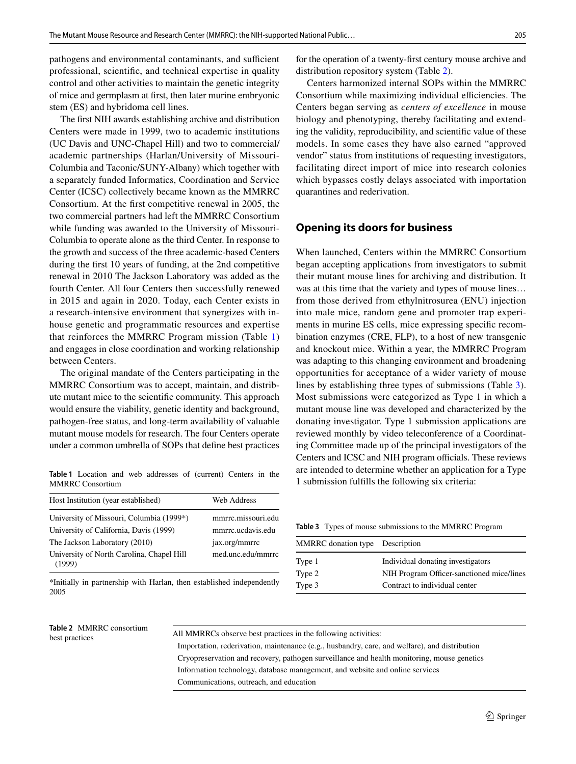pathogens and environmental contaminants, and sufficient professional, scientifc, and technical expertise in quality control and other activities to maintain the genetic integrity of mice and germplasm at frst, then later murine embryonic stem (ES) and hybridoma cell lines.

The frst NIH awards establishing archive and distribution Centers were made in 1999, two to academic institutions (UC Davis and UNC-Chapel Hill) and two to commercial/ academic partnerships (Harlan/University of Missouri-Columbia and Taconic/SUNY-Albany) which together with a separately funded Informatics, Coordination and Service Center (ICSC) collectively became known as the MMRRC Consortium. At the frst competitive renewal in 2005, the two commercial partners had left the MMRRC Consortium while funding was awarded to the University of Missouri-Columbia to operate alone as the third Center. In response to the growth and success of the three academic-based Centers during the frst 10 years of funding, at the 2nd competitive renewal in 2010 The Jackson Laboratory was added as the fourth Center. All four Centers then successfully renewed in 2015 and again in 2020. Today, each Center exists in a research-intensive environment that synergizes with inhouse genetic and programmatic resources and expertise that reinforces the MMRRC Program mission (Table [1\)](#page-4-0) and engages in close coordination and working relationship between Centers.

The original mandate of the Centers participating in the MMRRC Consortium was to accept, maintain, and distribute mutant mice to the scientifc community. This approach would ensure the viability, genetic identity and background, pathogen-free status, and long-term availability of valuable mutant mouse models for research. The four Centers operate under a common umbrella of SOPs that defne best practices

<span id="page-4-0"></span>**Table 1** Location and web addresses of (current) Centers in the MMRRC Consortium

| Host Institution (year established)                 | Web Address        |
|-----------------------------------------------------|--------------------|
| University of Missouri, Columbia (1999*)            | mmrrc.missouri.edu |
| University of California, Davis (1999)              | mmrrc.ucdavis.edu  |
| The Jackson Laboratory (2010)                       | jax.org/mmrrc      |
| University of North Carolina, Chapel Hill<br>(1999) | med.unc.edu/mmrrc  |

\*Initially in partnership with Harlan, then established independently 2005

# <span id="page-4-1"></span>**Table 2** MMRRC consortium

for the operation of a twenty-frst century mouse archive and distribution repository system (Table [2\)](#page-4-1).

Centers harmonized internal SOPs within the MMRRC Consortium while maximizing individual efficiencies. The Centers began serving as *centers of excellence* in mouse biology and phenotyping, thereby facilitating and extending the validity, reproducibility, and scientifc value of these models. In some cases they have also earned "approved vendor" status from institutions of requesting investigators, facilitating direct import of mice into research colonies which bypasses costly delays associated with importation quarantines and rederivation.

#### **Opening its doors for business**

When launched, Centers within the MMRRC Consortium began accepting applications from investigators to submit their mutant mouse lines for archiving and distribution. It was at this time that the variety and types of mouse lines… from those derived from ethylnitrosurea (ENU) injection into male mice, random gene and promoter trap experiments in murine ES cells, mice expressing specifc recombination enzymes (CRE, FLP), to a host of new transgenic and knockout mice. Within a year, the MMRRC Program was adapting to this changing environment and broadening opportunities for acceptance of a wider variety of mouse lines by establishing three types of submissions (Table [3](#page-4-2)). Most submissions were categorized as Type 1 in which a mutant mouse line was developed and characterized by the donating investigator. Type 1 submission applications are reviewed monthly by video teleconference of a Coordinating Committee made up of the principal investigators of the Centers and ICSC and NIH program officials. These reviews are intended to determine whether an application for a Type 1 submission fulflls the following six criteria:

<span id="page-4-2"></span>**Table 3** Types of mouse submissions to the MMRRC Program

| MMRRC donation type Description |                                                                            |
|---------------------------------|----------------------------------------------------------------------------|
| Type 1                          | Individual donating investigators                                          |
| Type 2<br>Type 3                | NIH Program Officer-sanctioned mice/lines<br>Contract to individual center |

# All MMRRCs observe best practices in the following activities:<br>best practices

 Importation, rederivation, maintenance (e.g., husbandry, care, and welfare), and distribution Cryopreservation and recovery, pathogen surveillance and health monitoring, mouse genetics Information technology, database management, and website and online services Communications, outreach, and education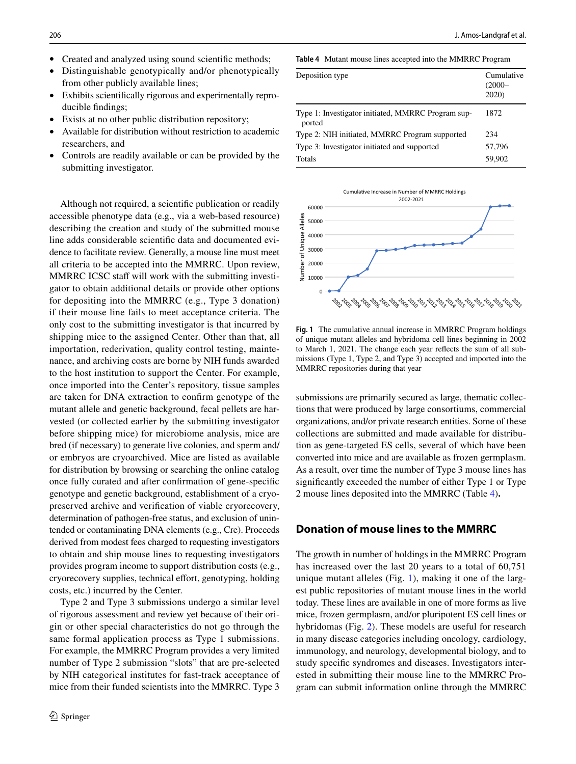- Created and analyzed using sound scientific methods;
- Distinguishable genotypically and/or phenotypically from other publicly available lines;
- Exhibits scientifcally rigorous and experimentally reproducible fndings;
- Exists at no other public distribution repository;
- Available for distribution without restriction to academic researchers, and
- Controls are readily available or can be provided by the submitting investigator.

Although not required, a scientifc publication or readily accessible phenotype data (e.g., via a web-based resource) describing the creation and study of the submitted mouse line adds considerable scientifc data and documented evidence to facilitate review. Generally, a mouse line must meet all criteria to be accepted into the MMRRC. Upon review, MMRRC ICSC staff will work with the submitting investigator to obtain additional details or provide other options for depositing into the MMRRC (e.g., Type 3 donation) if their mouse line fails to meet acceptance criteria. The only cost to the submitting investigator is that incurred by shipping mice to the assigned Center. Other than that, all importation, rederivation, quality control testing, maintenance, and archiving costs are borne by NIH funds awarded to the host institution to support the Center. For example, once imported into the Center's repository, tissue samples are taken for DNA extraction to confrm genotype of the mutant allele and genetic background, fecal pellets are harvested (or collected earlier by the submitting investigator before shipping mice) for microbiome analysis, mice are bred (if necessary) to generate live colonies, and sperm and/ or embryos are cryoarchived. Mice are listed as available for distribution by browsing or searching the online catalog once fully curated and after confrmation of gene-specifc genotype and genetic background, establishment of a cryopreserved archive and verifcation of viable cryorecovery, determination of pathogen-free status, and exclusion of unintended or contaminating DNA elements (e.g., Cre). Proceeds derived from modest fees charged to requesting investigators to obtain and ship mouse lines to requesting investigators provides program income to support distribution costs (e.g., cryorecovery supplies, technical effort, genotyping, holding costs, etc.) incurred by the Center.

Type 2 and Type 3 submissions undergo a similar level of rigorous assessment and review yet because of their origin or other special characteristics do not go through the same formal application process as Type 1 submissions. For example, the MMRRC Program provides a very limited number of Type 2 submission "slots" that are pre-selected by NIH categorical institutes for fast-track acceptance of mice from their funded scientists into the MMRRC. Type 3 <span id="page-5-0"></span>**Table 4** Mutant mouse lines accepted into the MMRRC Program

| Deposition type                                              | Cumulative<br>$(2000 -$<br>2020 |
|--------------------------------------------------------------|---------------------------------|
| Type 1: Investigator initiated, MMRRC Program sup-<br>ported | 1872                            |
| Type 2: NIH initiated, MMRRC Program supported               | 234                             |
| Type 3: Investigator initiated and supported                 | 57,796                          |
| Totals                                                       | 59.902                          |



<span id="page-5-1"></span>**Fig. 1** The cumulative annual increase in MMRRC Program holdings of unique mutant alleles and hybridoma cell lines beginning in 2002 to March 1, 2021. The change each year refects the sum of all submissions (Type 1, Type 2, and Type 3) accepted and imported into the MMRRC repositories during that year

submissions are primarily secured as large, thematic collections that were produced by large consortiums, commercial organizations, and/or private research entities. Some of these collections are submitted and made available for distribution as gene-targeted ES cells, several of which have been converted into mice and are available as frozen germplasm. As a result, over time the number of Type 3 mouse lines has signifcantly exceeded the number of either Type 1 or Type 2 mouse lines deposited into the MMRRC (Table [4\)](#page-5-0)**.**

#### **Donation of mouse lines to the MMRRC**

The growth in number of holdings in the MMRRC Program has increased over the last 20 years to a total of 60,751 unique mutant alleles (Fig. [1](#page-5-1)), making it one of the largest public repositories of mutant mouse lines in the world today. These lines are available in one of more forms as live mice, frozen germplasm, and/or pluripotent ES cell lines or hybridomas (Fig. [2\)](#page-6-0). These models are useful for research in many disease categories including oncology, cardiology, immunology, and neurology, developmental biology, and to study specifc syndromes and diseases. Investigators interested in submitting their mouse line to the MMRRC Program can submit information online through the MMRRC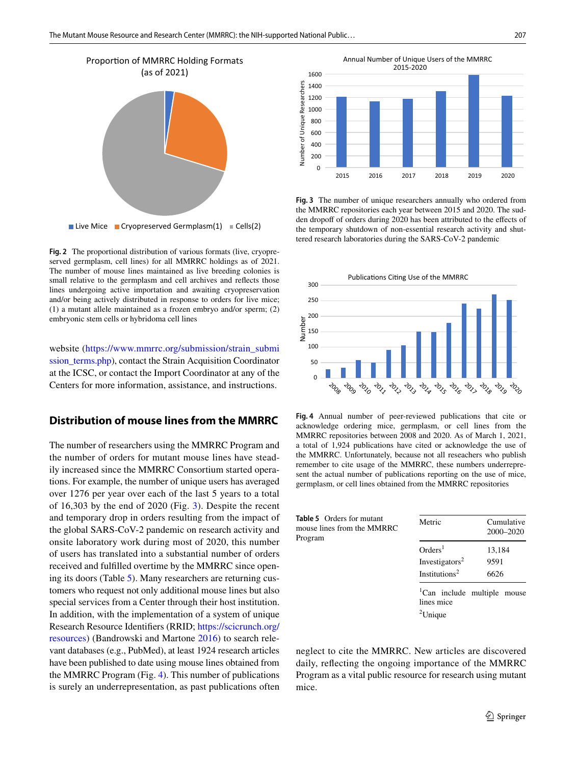

<span id="page-6-0"></span>**Fig. 2** The proportional distribution of various formats (live, cryopreserved germplasm, cell lines) for all MMRRC holdings as of 2021. The number of mouse lines maintained as live breeding colonies is small relative to the germplasm and cell archives and refects those lines undergoing active importation and awaiting cryopreservation and/or being actively distributed in response to orders for live mice; (1) a mutant allele maintained as a frozen embryo and/or sperm; (2) embryonic stem cells or hybridoma cell lines

website [\(https://www.mmrrc.org/submission/strain\\_submi](https://www.mmrrc.org/submission/strain_submission_terms.php) ssion terms.php), contact the Strain Acquisition Coordinator at the ICSC, or contact the Import Coordinator at any of the Centers for more information, assistance, and instructions.

## **Distribution of mouse lines from the MMRRC**

The number of researchers using the MMRRC Program and the number of orders for mutant mouse lines have steadily increased since the MMRRC Consortium started operations. For example, the number of unique users has averaged over 1276 per year over each of the last 5 years to a total of 16,303 by the end of 2020 (Fig. [3](#page-6-1)). Despite the recent and temporary drop in orders resulting from the impact of the global SARS-CoV-2 pandemic on research activity and onsite laboratory work during most of 2020, this number of users has translated into a substantial number of orders received and fulflled overtime by the MMRRC since opening its doors (Table [5](#page-6-2)). Many researchers are returning customers who request not only additional mouse lines but also special services from a Center through their host institution. In addition, with the implementation of a system of unique Research Resource Identifers (RRID; [https://scicrunch.org/](https://scicrunch.org/resources) [resources](https://scicrunch.org/resources)) (Bandrowski and Martone [2016](#page-10-5)) to search relevant databases (e.g., PubMed), at least 1924 research articles have been published to date using mouse lines obtained from the MMRRC Program (Fig. [4\)](#page-6-3). This number of publications is surely an underrepresentation, as past publications often



<span id="page-6-1"></span>**Fig. 3** The number of unique researchers annually who ordered from the MMRRC repositories each year between 2015 and 2020. The sudden dropoff of orders during 2020 has been attributed to the effects of the temporary shutdown of non-essential research activity and shuttered research laboratories during the SARS-CoV-2 pandemic



<span id="page-6-3"></span>**Fig. 4** Annual number of peer-reviewed publications that cite or acknowledge ordering mice, germplasm, or cell lines from the MMRRC repositories between 2008 and 2020. As of March 1, 2021, a total of 1,924 publications have cited or acknowledge the use of the MMRRC. Unfortunately, because not all reseachers who publish remember to cite usage of the MMRRC, these numbers underrepresent the actual number of publications reporting on the use of mice, germplasm, or cell lines obtained from the MMRRC repositories

<span id="page-6-2"></span>

| <b>Table 5</b> Orders for mutant<br>mouse lines from the MMRRC<br>Program | Metric                                                                         | Cumulative<br>2000-2020 |
|---------------------------------------------------------------------------|--------------------------------------------------------------------------------|-------------------------|
|                                                                           | Orders <sup>1</sup><br>Investigators <sup>2</sup><br>Institutions <sup>2</sup> | 13,184<br>9591<br>6626  |
|                                                                           | <sup>1</sup> Can include multiple mouse<br>lines mice<br>$2$ Unique            |                         |

neglect to cite the MMRRC. New articles are discovered daily, refecting the ongoing importance of the MMRRC Program as a vital public resource for research using mutant mice.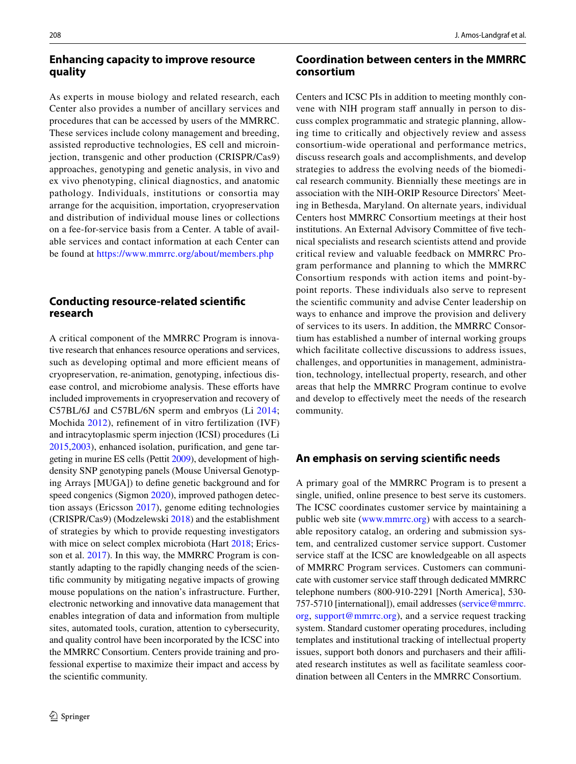#### **Enhancing capacity to improve resource quality**

As experts in mouse biology and related research, each Center also provides a number of ancillary services and procedures that can be accessed by users of the MMRRC. These services include colony management and breeding, assisted reproductive technologies, ES cell and microinjection, transgenic and other production (CRISPR/Cas9) approaches, genotyping and genetic analysis, in vivo and ex vivo phenotyping, clinical diagnostics, and anatomic pathology. Individuals, institutions or consortia may arrange for the acquisition, importation, cryopreservation and distribution of individual mouse lines or collections on a fee-for-service basis from a Center. A table of available services and contact information at each Center can be found at<https://www.mmrrc.org/about/members.php>

## **Conducting resource‑related scientifc research**

A critical component of the MMRRC Program is innovative research that enhances resource operations and services, such as developing optimal and more efficient means of cryopreservation, re-animation, genotyping, infectious disease control, and microbiome analysis. These efforts have included improvements in cryopreservation and recovery of C57BL/6J and C57BL/6N sperm and embryos (Li [2014](#page-11-1); Mochida [2012](#page-11-2)), refnement of in vitro fertilization (IVF) and intracytoplasmic sperm injection (ICSI) procedures (Li [2015](#page-11-3),[2003\)](#page-11-4), enhanced isolation, purifcation, and gene targeting in murine ES cells (Pettit [2009](#page-11-5)), development of highdensity SNP genotyping panels (Mouse Universal Genotyping Arrays [MUGA]) to defne genetic background and for speed congenics (Sigmon [2020](#page-11-6)), improved pathogen detection assays (Ericsson [2017](#page-10-6)), genome editing technologies (CRISPR/Cas9) (Modzelewski [2018\)](#page-11-7) and the establishment of strategies by which to provide requesting investigators with mice on select complex microbiota (Hart [2018](#page-11-8); Ericsson et al. [2017](#page-10-7)). In this way, the MMRRC Program is constantly adapting to the rapidly changing needs of the scientifc community by mitigating negative impacts of growing mouse populations on the nation's infrastructure. Further, electronic networking and innovative data management that enables integration of data and information from multiple sites, automated tools, curation, attention to cybersecurity, and quality control have been incorporated by the ICSC into the MMRRC Consortium. Centers provide training and professional expertise to maximize their impact and access by the scientifc community.

## **Coordination between centers in the MMRRC consortium**

Centers and ICSC PIs in addition to meeting monthly convene with NIH program staff annually in person to discuss complex programmatic and strategic planning, allowing time to critically and objectively review and assess consortium-wide operational and performance metrics, discuss research goals and accomplishments, and develop strategies to address the evolving needs of the biomedical research community. Biennially these meetings are in association with the NIH-ORIP Resource Directors' Meeting in Bethesda, Maryland. On alternate years, individual Centers host MMRRC Consortium meetings at their host institutions. An External Advisory Committee of five technical specialists and research scientists attend and provide critical review and valuable feedback on MMRRC Program performance and planning to which the MMRRC Consortium responds with action items and point-bypoint reports. These individuals also serve to represent the scientifc community and advise Center leadership on ways to enhance and improve the provision and delivery of services to its users. In addition, the MMRRC Consortium has established a number of internal working groups which facilitate collective discussions to address issues, challenges, and opportunities in management, administration, technology, intellectual property, research, and other areas that help the MMRRC Program continue to evolve and develop to efectively meet the needs of the research community.

## **An emphasis on serving scientifc needs**

A primary goal of the MMRRC Program is to present a single, unifed, online presence to best serve its customers. The ICSC coordinates customer service by maintaining a public web site [\(www.mmrrc.org](http://www.mmrrc.org)) with access to a searchable repository catalog, an ordering and submission system, and centralized customer service support. Customer service staff at the ICSC are knowledgeable on all aspects of MMRRC Program services. Customers can communicate with customer service staff through dedicated MMRRC telephone numbers (800-910-2291 [North America], 530- 757-5710 [international]), email addresses ([service@mmrrc.](service@mmrrc.org) [org,](service@mmrrc.org) <support@mmrrc.org>), and a service request tracking system. Standard customer operating procedures, including templates and institutional tracking of intellectual property issues, support both donors and purchasers and their affiliated research institutes as well as facilitate seamless coordination between all Centers in the MMRRC Consortium.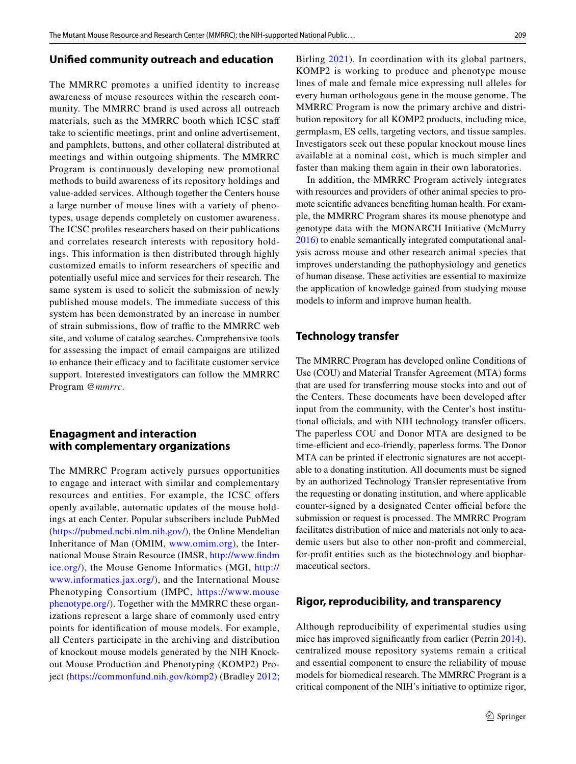#### **Unifed community outreach and education**

The MMRRC promotes a unified identity to increase awareness of mouse resources within the research community. The MMRRC brand is used across all outreach materials, such as the MMRRC booth which ICSC staf take to scientifc meetings, print and online advertisement, and pamphlets, buttons, and other collateral distributed at meetings and within outgoing shipments. The MMRRC Program is continuously developing new promotional methods to build awareness of its repository holdings and value-added services. Although together the Centers house a large number of mouse lines with a variety of phenotypes, usage depends completely on customer awareness. The ICSC profles researchers based on their publications and correlates research interests with repository holdings. This information is then distributed through highly customized emails to inform researchers of specifc and potentially useful mice and services for their research. The same system is used to solicit the submission of newly published mouse models. The immediate success of this system has been demonstrated by an increase in number of strain submissions, flow of traffic to the MMRRC web site, and volume of catalog searches. Comprehensive tools for assessing the impact of email campaigns are utilized to enhance their efficacy and to facilitate customer service support. Interested investigators can follow the MMRRC Program *@mmrrc*.

#### **Enagagment and interaction with complementary organizations**

The MMRRC Program actively pursues opportunities to engage and interact with similar and complementary resources and entities. For example, the ICSC offers openly available, automatic updates of the mouse holdings at each Center. Popular subscribers include PubMed [\(https://pubmed.ncbi.nlm.nih.gov/](https://pubmed.ncbi.nlm.nih.gov/)), the Online Mendelian Inheritance of Man (OMIM, [www.omim.org\)](http://www.omim.org), the International Mouse Strain Resource (IMSR, [http://www.fndm](http://www.findmice.org/) [ice.org/\)](http://www.findmice.org/), the Mouse Genome Informatics (MGI, [http://](http://www.informatics.jax.org/) [www.informatics.jax.org/\)](http://www.informatics.jax.org/), and the International Mouse Phenotyping Consortium (IMPC, [https://www.mouse](https://www.mousephenotype.org/) [phenotype.org/](https://www.mousephenotype.org/)). Together with the MMRRC these organizations represent a large share of commonly used entry points for identifcation of mouse models. For example, all Centers participate in the archiving and distribution of knockout mouse models generated by the NIH Knockout Mouse Production and Phenotyping (KOMP2) Project (<https://commonfund.nih.gov/komp2>) (Bradley [2012](#page-10-8); Birling [2021](#page-10-9)). In coordination with its global partners, KOMP2 is working to produce and phenotype mouse lines of male and female mice expressing null alleles for every human orthologous gene in the mouse genome. The MMRRC Program is now the primary archive and distribution repository for all KOMP2 products, including mice, germplasm, ES cells, targeting vectors, and tissue samples. Investigators seek out these popular knockout mouse lines available at a nominal cost, which is much simpler and faster than making them again in their own laboratories.

In addition, the MMRRC Program actively integrates with resources and providers of other animal species to promote scientifc advances benefting human health. For example, the MMRRC Program shares its mouse phenotype and genotype data with the MONARCH Initiative (McMurry [2016](#page-11-9)) to enable semantically integrated computational analysis across mouse and other research animal species that improves understanding the pathophysiology and genetics of human disease. These activities are essential to maximize the application of knowledge gained from studying mouse models to inform and improve human health.

## **Technology transfer**

The MMRRC Program has developed online Conditions of Use (COU) and Material Transfer Agreement (MTA) forms that are used for transferring mouse stocks into and out of the Centers. These documents have been developed after input from the community, with the Center's host institutional officials, and with NIH technology transfer officers. The paperless COU and Donor MTA are designed to be time-efficient and eco-friendly, paperless forms. The Donor MTA can be printed if electronic signatures are not acceptable to a donating institution. All documents must be signed by an authorized Technology Transfer representative from the requesting or donating institution, and where applicable counter-signed by a designated Center official before the submission or request is processed. The MMRRC Program facilitates distribution of mice and materials not only to academic users but also to other non-proft and commercial, for-proft entities such as the biotechnology and biopharmaceutical sectors.

#### **Rigor, reproducibility, and transparency**

Although reproducibility of experimental studies using mice has improved signifcantly from earlier (Perrin [2014](#page-11-10)), centralized mouse repository systems remain a critical and essential component to ensure the reliability of mouse models for biomedical research. The MMRRC Program is a critical component of the NIH's initiative to optimize rigor,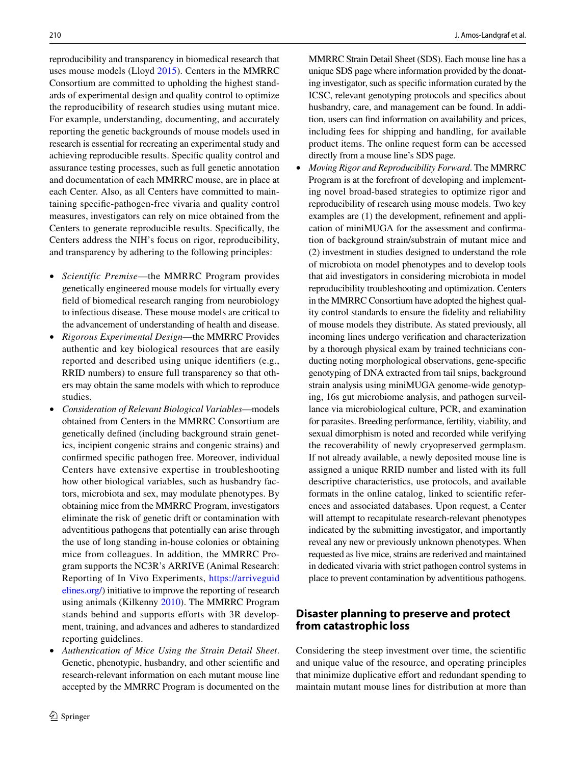reproducibility and transparency in biomedical research that uses mouse models (Lloyd [2015\)](#page-11-11). Centers in the MMRRC Consortium are committed to upholding the highest standards of experimental design and quality control to optimize the reproducibility of research studies using mutant mice. For example, understanding, documenting, and accurately reporting the genetic backgrounds of mouse models used in research is essential for recreating an experimental study and achieving reproducible results. Specifc quality control and assurance testing processes, such as full genetic annotation and documentation of each MMRRC mouse, are in place at each Center. Also, as all Centers have committed to maintaining specifc-pathogen-free vivaria and quality control measures, investigators can rely on mice obtained from the Centers to generate reproducible results. Specifcally, the Centers address the NIH's focus on rigor, reproducibility, and transparency by adhering to the following principles:

- *Scientific Premise*—the MMRRC Program provides genetically engineered mouse models for virtually every feld of biomedical research ranging from neurobiology to infectious disease. These mouse models are critical to the advancement of understanding of health and disease.
- *Rigorous Experimental Design*—the MMRRC Provides authentic and key biological resources that are easily reported and described using unique identifers (e.g., RRID numbers) to ensure full transparency so that others may obtain the same models with which to reproduce studies.
- *Consideration of Relevant Biological Variables*—models obtained from Centers in the MMRRC Consortium are genetically defned (including background strain genetics, incipient congenic strains and congenic strains) and confrmed specifc pathogen free. Moreover, individual Centers have extensive expertise in troubleshooting how other biological variables, such as husbandry factors, microbiota and sex, may modulate phenotypes. By obtaining mice from the MMRRC Program, investigators eliminate the risk of genetic drift or contamination with adventitious pathogens that potentially can arise through the use of long standing in-house colonies or obtaining mice from colleagues. In addition, the MMRRC Program supports the NC3R's ARRIVE (Animal Research: Reporting of In Vivo Experiments, [https://arriveguid](https://arriveguidelines.org/) [elines.org/](https://arriveguidelines.org/)) initiative to improve the reporting of research using animals (Kilkenny [2010\)](#page-11-12). The MMRRC Program stands behind and supports efforts with 3R development, training, and advances and adheres to standardized reporting guidelines.
- *Authentication of Mice Using the Strain Detail Sheet*. Genetic, phenotypic, husbandry, and other scientifc and research-relevant information on each mutant mouse line accepted by the MMRRC Program is documented on the

MMRRC Strain Detail Sheet (SDS). Each mouse line has a unique SDS page where information provided by the donating investigator, such as specifc information curated by the ICSC, relevant genotyping protocols and specifcs about husbandry, care, and management can be found. In addition, users can fnd information on availability and prices, including fees for shipping and handling, for available product items. The online request form can be accessed directly from a mouse line's SDS page.

• *Moving Rigor and Reproducibility Forward*. The MMRRC Program is at the forefront of developing and implementing novel broad-based strategies to optimize rigor and reproducibility of research using mouse models. Two key examples are (1) the development, refnement and application of miniMUGA for the assessment and confrmation of background strain/substrain of mutant mice and (2) investment in studies designed to understand the role of microbiota on model phenotypes and to develop tools that aid investigators in considering microbiota in model reproducibility troubleshooting and optimization. Centers in the MMRRC Consortium have adopted the highest quality control standards to ensure the fdelity and reliability of mouse models they distribute. As stated previously, all incoming lines undergo verifcation and characterization by a thorough physical exam by trained technicians conducting noting morphological observations, gene-specifc genotyping of DNA extracted from tail snips, background strain analysis using miniMUGA genome-wide genotyping, 16s gut microbiome analysis, and pathogen surveillance via microbiological culture, PCR, and examination for parasites. Breeding performance, fertility, viability, and sexual dimorphism is noted and recorded while verifying the recoverability of newly cryopreserved germplasm. If not already available, a newly deposited mouse line is assigned a unique RRID number and listed with its full descriptive characteristics, use protocols, and available formats in the online catalog, linked to scientifc references and associated databases. Upon request, a Center will attempt to recapitulate research-relevant phenotypes indicated by the submitting investigator, and importantly reveal any new or previously unknown phenotypes. When requested as live mice, strains are rederived and maintained in dedicated vivaria with strict pathogen control systems in place to prevent contamination by adventitious pathogens.

# **Disaster planning to preserve and protect from catastrophic loss**

Considering the steep investment over time, the scientifc and unique value of the resource, and operating principles that minimize duplicative efort and redundant spending to maintain mutant mouse lines for distribution at more than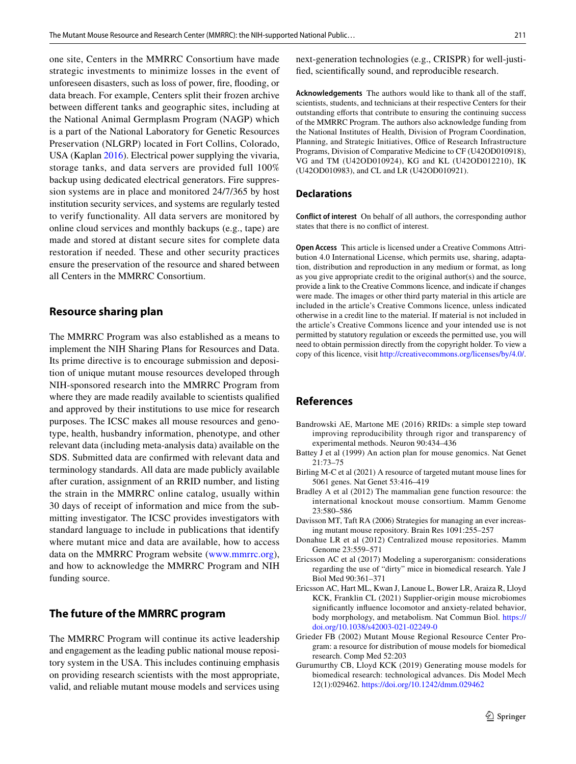one site, Centers in the MMRRC Consortium have made strategic investments to minimize losses in the event of unforeseen disasters, such as loss of power, fre, fooding, or data breach. For example, Centers split their frozen archive between diferent tanks and geographic sites, including at the National Animal Germplasm Program (NAGP) which is a part of the National Laboratory for Genetic Resources Preservation (NLGRP) located in Fort Collins, Colorado, USA (Kaplan [2016](#page-11-13)). Electrical power supplying the vivaria, storage tanks, and data servers are provided full 100% backup using dedicated electrical generators. Fire suppression systems are in place and monitored 24/7/365 by host institution security services, and systems are regularly tested to verify functionality. All data servers are monitored by online cloud services and monthly backups (e.g., tape) are made and stored at distant secure sites for complete data restoration if needed. These and other security practices ensure the preservation of the resource and shared between all Centers in the MMRRC Consortium.

#### **Resource sharing plan**

The MMRRC Program was also established as a means to implement the NIH Sharing Plans for Resources and Data. Its prime directive is to encourage submission and deposition of unique mutant mouse resources developed through NIH-sponsored research into the MMRRC Program from where they are made readily available to scientists qualifed and approved by their institutions to use mice for research purposes. The ICSC makes all mouse resources and genotype, health, husbandry information, phenotype, and other relevant data (including meta-analysis data) available on the SDS. Submitted data are confrmed with relevant data and terminology standards. All data are made publicly available after curation, assignment of an RRID number, and listing the strain in the MMRRC online catalog, usually within 30 days of receipt of information and mice from the submitting investigator. The ICSC provides investigators with standard language to include in publications that identify where mutant mice and data are available, how to access data on the MMRRC Program website ([www.mmrrc.org](http://www.mmrrc.org)), and how to acknowledge the MMRRC Program and NIH funding source.

#### **The future of the MMRRC program**

The MMRRC Program will continue its active leadership and engagement as the leading public national mouse repository system in the USA. This includes continuing emphasis on providing research scientists with the most appropriate, valid, and reliable mutant mouse models and services using next-generation technologies (e.g., CRISPR) for well-justifed, scientifcally sound, and reproducible research.

**Acknowledgements** The authors would like to thank all of the staf, scientists, students, and technicians at their respective Centers for their outstanding eforts that contribute to ensuring the continuing success of the MMRRC Program. The authors also acknowledge funding from the National Institutes of Health, Division of Program Coordination, Planning, and Strategic Initiatives, Office of Research Infrastructure Programs, Division of Comparative Medicine to CF (U42OD010918), VG and TM (U42OD010924), KG and KL (U42OD012210), IK (U42OD010983), and CL and LR (U42OD010921).

#### **Declarations**

**Conflict of interest** On behalf of all authors, the corresponding author states that there is no confict of interest.

**Open Access** This article is licensed under a Creative Commons Attribution 4.0 International License, which permits use, sharing, adaptation, distribution and reproduction in any medium or format, as long as you give appropriate credit to the original author(s) and the source, provide a link to the Creative Commons licence, and indicate if changes were made. The images or other third party material in this article are included in the article's Creative Commons licence, unless indicated otherwise in a credit line to the material. If material is not included in the article's Creative Commons licence and your intended use is not permitted by statutory regulation or exceeds the permitted use, you will need to obtain permission directly from the copyright holder. To view a copy of this licence, visit<http://creativecommons.org/licenses/by/4.0/>.

#### **References**

- <span id="page-10-5"></span>Bandrowski AE, Martone ME (2016) RRIDs: a simple step toward improving reproducibility through rigor and transparency of experimental methods. Neuron 90:434–436
- <span id="page-10-2"></span>Battey J et al (1999) An action plan for mouse genomics. Nat Genet 21:73–75
- <span id="page-10-9"></span>Birling M-C et al (2021) A resource of targeted mutant mouse lines for 5061 genes. Nat Genet 53:416–419
- <span id="page-10-8"></span>Bradley A et al (2012) The mammalian gene function resource: the international knockout mouse consortium. Mamm Genome 23:580–586
- <span id="page-10-0"></span>Davisson MT, Taft RA (2006) Strategies for managing an ever increasing mutant mouse repository. Brain Res 1091:255–257
- <span id="page-10-3"></span>Donahue LR et al (2012) Centralized mouse repositories. Mamm Genome 23:559–571
- <span id="page-10-6"></span>Ericsson AC et al (2017) Modeling a superorganism: considerations regarding the use of "dirty" mice in biomedical research. Yale J Biol Med 90:361–371
- <span id="page-10-7"></span>Ericsson AC, Hart ML, Kwan J, Lanoue L, Bower LR, Araiza R, Lloyd KCK, Franklin CL (2021) Supplier-origin mouse microbiomes signifcantly infuence locomotor and anxiety-related behavior, body morphology, and metabolism. Nat Commun Biol. [https://](https://doi.org/10.1038/s42003-021-02249-0) [doi.org/10.1038/s42003-021-02249-0](https://doi.org/10.1038/s42003-021-02249-0)
- <span id="page-10-4"></span>Grieder FB (2002) Mutant Mouse Regional Resource Center Program: a resource for distribution of mouse models for biomedical research. Comp Med 52:203
- <span id="page-10-1"></span>Gurumurthy CB, Lloyd KCK (2019) Generating mouse models for biomedical research: technological advances. Dis Model Mech 12(1):029462.<https://doi.org/10.1242/dmm.029462>